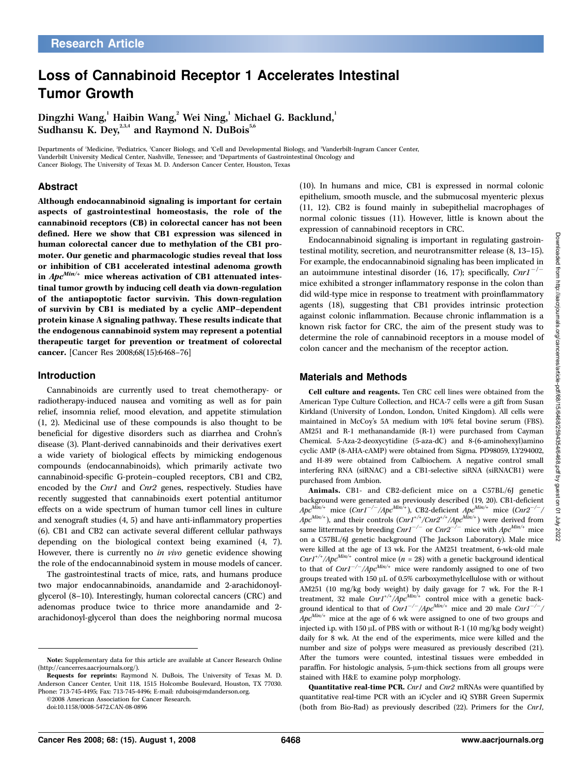# Loss of Cannabinoid Receptor 1 Accelerates Intestinal Tumor Growth

Dingzhi Wang, $^{\rm l}$  Haibin Wang, $^{\rm 2}$  Wei Ning, $^{\rm l}$  Michael G. Backlund, $^{\rm l}$ Sudhansu K. Dey, $^{2,3,4}$  and Raymond N. DuBois<sup>5,6</sup>

Departments of 'Medicine, 'Pediatrics, 'Cancer Biology, and 'Cell and Developmental Biology, and 'Vanderbilt-Ingram Cancer Center, Vanderbilt University Medical Center, Nashville, Tenessee; and 'Departments of Gastrointestinal Oncology and Cancer Biology, The University of Texas M. D. Anderson Cancer Center, Houston, Texas

## Abstract

Although endocannabinoid signaling is important for certain aspects of gastrointestinal homeostasis, the role of the cannabinoid receptors (CB) in colorectal cancer has not been defined. Here we show that CB1 expression was silenced in human colorectal cancer due to methylation of the CB1 promoter. Our genetic and pharmacologic studies reveal that loss or inhibition of CB1 accelerated intestinal adenoma growth in  $Apc^{Min/+}$  mice whereas activation of CB1 attenuated intestinal tumor growth by inducing cell death via down-regulation of the antiapoptotic factor survivin. This down-regulation of survivin by CB1 is mediated by a cyclic AMP–dependent protein kinase A signaling pathway. These results indicate that the endogenous cannabinoid system may represent a potential therapeutic target for prevention or treatment of colorectal cancer. [Cancer Res 2008;68(15):6468–76]

## Introduction

Cannabinoids are currently used to treat chemotherapy- or radiotherapy-induced nausea and vomiting as well as for pain relief, insomnia relief, mood elevation, and appetite stimulation (1, 2). Medicinal use of these compounds is also thought to be beneficial for digestive disorders such as diarrhea and Crohn's disease (3). Plant-derived cannabinoids and their derivatives exert a wide variety of biological effects by mimicking endogenous compounds (endocannabinoids), which primarily activate two cannabinoid-specific G-protein–coupled receptors, CB1 and CB2, encoded by the Cnr1 and Cnr2 genes, respectively. Studies have recently suggested that cannabinoids exert potential antitumor effects on a wide spectrum of human tumor cell lines in culture and xenograft studies (4, 5) and have anti-inflammatory properties (6). CB1 and CB2 can activate several different cellular pathways depending on the biological context being examined (4, 7). However, there is currently no in vivo genetic evidence showing the role of the endocannabinoid system in mouse models of cancer.

The gastrointestinal tracts of mice, rats, and humans produce two major endocannabinoids, anandamide and 2-arachidonoylglycerol (8–10). Interestingly, human colorectal cancers (CRC) and adenomas produce twice to thrice more anandamide and 2 arachidonoyl-glycerol than does the neighboring normal mucosa

Requests for reprints: Raymond N. DuBois, The University of Texas M. D. Anderson Cancer Center, Unit 118, 1515 Holcombe Boulevard, Houston, TX 77030. Phone: 713-745-4495; Fax: 713-745-4496; E-mail: rdubois@mdanderson.org.

©2008 American Association for Cancer Research.

doi:10.1158/0008-5472.CAN-08-0896

(10). In humans and mice, CB1 is expressed in normal colonic epithelium, smooth muscle, and the submucosal myenteric plexus (11, 12). CB2 is found mainly in subepithelial macrophages of normal colonic tissues (11). However, little is known about the expression of cannabinoid receptors in CRC.

Endocannabinoid signaling is important in regulating gastrointestinal motility, secretion, and neurotransmitter release (8, 13–15). For example, the endocannabinoid signaling has been implicated in an autoimmune intestinal disorder (16, 17); specifically,  $Cn r l^{-1}$ mice exhibited a stronger inflammatory response in the colon than did wild-type mice in response to treatment with proinflammatory agents (18), suggesting that CB1 provides intrinsic protection against colonic inflammation. Because chronic inflammation is a known risk factor for CRC, the aim of the present study was to determine the role of cannabinoid receptors in a mouse model of colon cancer and the mechanism of the receptor action.

## Materials and Methods

Cell culture and reagents. Ten CRC cell lines were obtained from the American Type Culture Collection, and HCA-7 cells were a gift from Susan Kirkland (University of London, London, United Kingdom). All cells were maintained in McCoy's 5A medium with 10% fetal bovine serum (FBS). AM251 and R-1 methanandamide (R-1) were purchased from Cayman Chemical. 5-Aza-2-deoxycytidine (5-aza-dC) and 8-(6-aminohexyl)amino cyclic AMP (8-AHA-cAMP) were obtained from Sigma. PD98059, LY294002, and H-89 were obtained from Calbiochem. A negative control small interfering RNA (siRNAC) and a CB1-selective siRNA (siRNACB1) were purchased from Ambion.

Animals. CB1- and CB2-deficient mice on a C57BL/6J genetic background were generated as previously described (19, 20). CB1-deficient  $Apc^{Min/+}$  mice  $(Cnrl^{-/-}/Apc^{Min/+})$ , CB2-deficient  $Apc^{Min/+}$  mice  $(Cnrl^{-/-}/Apc^{Min/+})$  $Apc^{Min/+}$ ), and their controls  $(cnr1^{+/+/} / Cnr2^{+/+/} / Apc^{Min/+})$  were derived from same littermates by breeding  $Cn r1^{-/-}$  or  $Cn r2^{-/-}$  mice with  $Apc^{Min/+}$  mice on a C57BL/6J genetic background (The Jackson Laboratory). Male mice were killed at the age of 13 wk. For the AM251 treatment, 6-wk-old male  $\mathit{Cnrl}^{\ast/\ast}/Apc^{\mathit{Min}/\ast}$  control mice (n = 28) with a genetic background identical to that of  $Cn r I^{-/-}/Apc^{Min/+}$  mice were randomly assigned to one of two groups treated with 150  $\mu$ L of 0.5% carboxymethylcellulose with or without AM251 (10 mg/kg body weight) by daily gavage for 7 wk. For the R-1 treatment, 32 male  $Cnr1^{+/}/Apc^{Min/+}$  control mice with a genetic background identical to that of  $Cnrl^{-/-}/Apc^{Min/+}$  mice and 20 male  $Cnrl^{-/-}/$  $Apc^{Min/+}$  mice at the age of 6 wk were assigned to one of two groups and injected i.p. with 150 µL of PBS with or without R-1 (10 mg/kg body weight) daily for 8 wk. At the end of the experiments, mice were killed and the number and size of polyps were measured as previously described (21). After the tumors were counted, intestinal tissues were embedded in paraffin. For histologic analysis, 5-µm-thick sections from all groups were stained with H&E to examine polyp morphology.

Quantitative real-time PCR. Cnr1 and Cnr2 mRNAs were quantified by quantitative real-time PCR with an iCycler and iQ SYBR Green Supermix (both from Bio-Rad) as previously described (22). Primers for the Cnr1,

Note: Supplementary data for this article are available at Cancer Research Online (http://cancerres.aacrjournals.org/).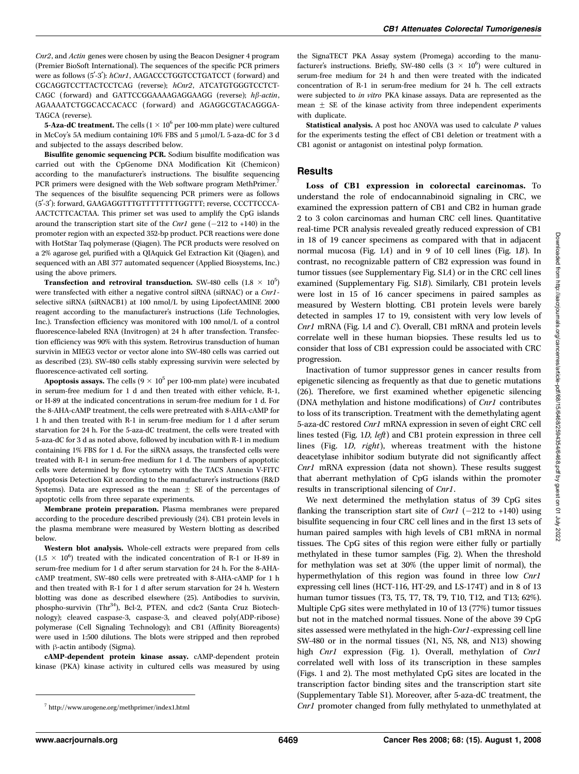Cnr2, and Actin genes were chosen by using the Beacon Designer 4 program (Premier BioSoft International). The sequences of the specific PCR primers were as follows (5'-3'): hCnr1, AAGACCCTGGTCCTGATCCT (forward) and CGCAGGTCCTTACTCCTCAG (reverse); hCnr2, ATCATGTGGGTCCTCT-CAGC (forward) and GATTCCGGAAAAGAGGAAGG (reverse);  $h\beta$ -actin, AGAAAATCTGGCACCACACC ( forward) and AGAGGCGTACAGGGA-TAGCA (reverse).

**5-Aza-dC treatment.** The cells ( $1 \times 10^6$  per 100-mm plate) were cultured in McCoy's 5A medium containing 10% FBS and 5 µmol/L 5-aza-dC for 3 d and subjected to the assays described below.

Bisulfite genomic sequencing PCR. Sodium bisulfite modification was carried out with the CpGenome DNA Modification Kit (Chemicon) according to the manufacturer's instructions. The bisulfite sequencing PCR primers were designed with the Web software program MethPrimer.<sup>7</sup> The sequences of the bisulfite sequencing PCR primers were as follows (5'-3'): forward, GAAGAGGTTTGTTTTTTTGGTTT; reverse, CCCTTCCCA-AACTCTTCACTAA. This primer set was used to amplify the CpG islands around the transcription start site of the Cnr1 gene  $(-212$  to +140) in the promoter region with an expected 352-bp product. PCR reactions were done with HotStar Taq polymerase (Qiagen). The PCR products were resolved on a 2% agarose gel, purified with a QIAquick Gel Extraction Kit (Qiagen), and sequenced with an ABI 377 automated sequencer (Applied Biosystems, Inc.) using the above primers.

**Transfection and retroviral transduction.** SW-480 cells  $(1.8 \times 10^5)$ were transfected with either a negative control siRNA (siRNAC) or a Cnr1selective siRNA (siRNACB1) at 100 nmol/L by using LipofectAMINE 2000 reagent according to the manufacturer's instructions (Life Technologies, Inc.). Transfection efficiency was monitored with 100 nmol/L of a control fluorescence-labeled RNA (Invitrogen) at 24 h after transfection. Transfection efficiency was 90% with this system. Retrovirus transduction of human survivin in MIEG3 vector or vector alone into SW-480 cells was carried out as described (23). SW-480 cells stably expressing survivin were selected by fluorescence-activated cell sorting.

**Apoptosis assays.** The cells ( $9 \times 10^5$  per 100-mm plate) were incubated in serum-free medium for 1 d and then treated with either vehicle, R-1, or H-89 at the indicated concentrations in serum-free medium for 1 d. For the 8-AHA-cAMP treatment, the cells were pretreated with 8-AHA-cAMP for 1 h and then treated with R-1 in serum-free medium for 1 d after serum starvation for 24 h. For the 5-aza-dC treatment, the cells were treated with 5-aza-dC for 3 d as noted above, followed by incubation with R-1 in medium containing 1% FBS for 1 d. For the siRNA assays, the transfected cells were treated with R-1 in serum-free medium for 1 d. The numbers of apoptotic cells were determined by flow cytometry with the TACS Annexin V-FITC Apoptosis Detection Kit according to the manufacturer's instructions (R&D Systems). Data are expressed as the mean  $\pm$  SE of the percentages of apoptotic cells from three separate experiments.

Membrane protein preparation. Plasma membranes were prepared according to the procedure described previously (24). CB1 protein levels in the plasma membrane were measured by Western blotting as described below.

Western blot analysis. Whole-cell extracts were prepared from cells  $(1.5 \times 10^6)$  treated with the indicated concentration of R-1 or H-89 in serum-free medium for 1 d after serum starvation for 24 h. For the 8-AHAcAMP treatment, SW-480 cells were pretreated with 8-AHA-cAMP for 1 h and then treated with R-1 for 1 d after serum starvation for 24 h. Western blotting was done as described elsewhere (25). Antibodies to survivin, phospho-survivin (Thr<sup>34</sup>), Bcl-2, PTEN, and cdc2 (Santa Cruz Biotechnology); cleaved caspase-3, caspase-3, and cleaved poly(ADP-ribose) polymerase (Cell Signaling Technology); and CB1 (Affinity Bioreagents) were used in 1:500 dilutions. The blots were stripped and then reprobed with  $\beta$ -actin antibody (Sigma).

cAMP-dependent protein kinase assay. cAMP-dependent protein kinase (PKA) kinase activity in cultured cells was measured by using the SignaTECT PKA Assay system (Promega) according to the manufacturer's instructions. Briefly, SW-480 cells  $(3 \times 10^6)$  were cultured in serum-free medium for 24 h and then were treated with the indicated concentration of R-1 in serum-free medium for 24 h. The cell extracts were subjected to in vitro PKA kinase assays. Data are represented as the mean  $\pm$  SE of the kinase activity from three independent experiments with duplicate.

**Statistical analysis.** A post hoc ANOVA was used to calculate  $P$  values for the experiments testing the effect of CB1 deletion or treatment with a CB1 agonist or antagonist on intestinal polyp formation.

### **Results**

Loss of CB1 expression in colorectal carcinomas. To understand the role of endocannabinoid signaling in CRC, we examined the expression pattern of CB1 and CB2 in human grade 2 to 3 colon carcinomas and human CRC cell lines. Quantitative real-time PCR analysis revealed greatly reduced expression of CB1 in 18 of 19 cancer specimens as compared with that in adjacent normal mucosa (Fig. 1A) and in 9 of 10 cell lines (Fig. 1B). In contrast, no recognizable pattern of CB2 expression was found in tumor tissues (see Supplementary Fig. S1A) or in the CRC cell lines examined (Supplementary Fig. S1B). Similarly, CB1 protein levels were lost in 15 of 16 cancer specimens in paired samples as measured by Western blotting. CB1 protein levels were barely detected in samples 17 to 19, consistent with very low levels of Cnr1 mRNA (Fig. 1A and C). Overall, CB1 mRNA and protein levels correlate well in these human biopsies. These results led us to consider that loss of CB1 expression could be associated with CRC progression.

Inactivation of tumor suppressor genes in cancer results from epigenetic silencing as frequently as that due to genetic mutations (26). Therefore, we first examined whether epigenetic silencing (DNA methylation and histone modifications) of Cnr1 contributes to loss of its transcription. Treatment with the demethylating agent 5-aza-dC restored Cnr1 mRNA expression in seven of eight CRC cell lines tested (Fig. 1D, left) and CB1 protein expression in three cell lines (Fig. 1D, right), whereas treatment with the histone deacetylase inhibitor sodium butyrate did not significantly affect Cnr1 mRNA expression (data not shown). These results suggest that aberrant methylation of CpG islands within the promoter results in transcriptional silencing of Cnr1.

We next determined the methylation status of 39 CpG sites flanking the transcription start site of  $Cnrl$  (-212 to +140) using bisulfite sequencing in four CRC cell lines and in the first 13 sets of human paired samples with high levels of CB1 mRNA in normal tissues. The CpG sites of this region were either fully or partially methylated in these tumor samples (Fig. 2). When the threshold for methylation was set at 30% (the upper limit of normal), the hypermethylation of this region was found in three low Cnr1 expressing cell lines (HCT-116, HT-29, and LS-174T) and in 8 of 13 human tumor tissues (T3, T5, T7, T8, T9, T10, T12, and T13; 62%). Multiple CpG sites were methylated in 10 of 13 (77%) tumor tissues but not in the matched normal tissues. None of the above 39 CpG sites assessed were methylated in the high-Cnr1-expressing cell line SW-480 or in the normal tissues (N1, N5, N8, and N13) showing high Cnr1 expression (Fig. 1). Overall, methylation of Cnr1 correlated well with loss of its transcription in these samples (Figs. 1 and 2). The most methylated CpG sites are located in the transcription factor binding sites and the transcription start site (Supplementary Table S1). Moreover, after 5-aza-dC treatment, the  $^{7}$ http://www.urogene.org/methprimer/index1.html  $CnI$  promoter changed from fully methylated to unmethylated at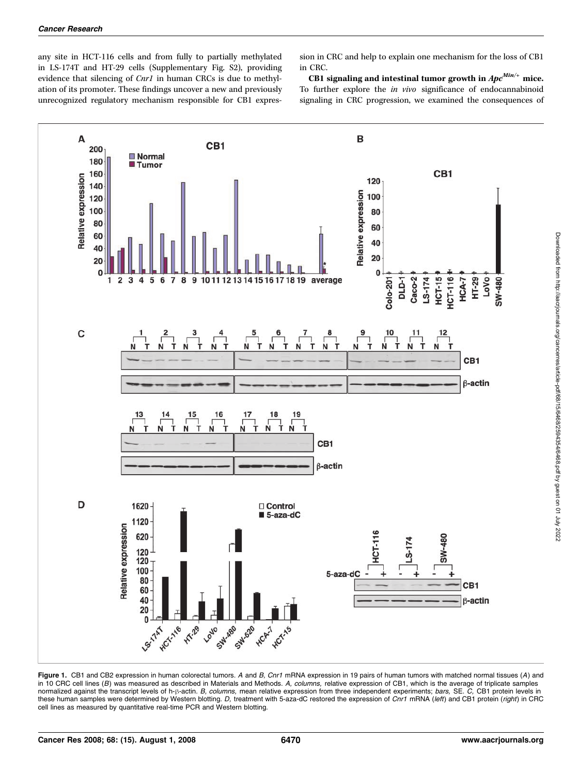any site in HCT-116 cells and from fully to partially methylated in LS-174T and HT-29 cells (Supplementary Fig. S2), providing evidence that silencing of Cnr1 in human CRCs is due to methylation of its promoter. These findings uncover a new and previously unrecognized regulatory mechanism responsible for CB1 expression in CRC and help to explain one mechanism for the loss of CB1 in CRC.

CB1 signaling and intestinal tumor growth in  $Apc^{Min/+}$  mice. To further explore the in vivo significance of endocannabinoid signaling in CRC progression, we examined the consequences of



**Figure 1.** CB1 and CB2 expression in human colorectal tumors. A and *B, Cnr1* mRNA expression in 19 pairs of human tumors with matched normal tissues (A) and<br>in 10 CRC cell lines (*B*) was measured as described in Materia normalized against the transcript levels of h-β-actin. *B, columns*, mean relative expression from three independent experiments; *bars,* SE. *C,* CB1 protein levels in<br>these human samples were determined by Western blotti cell lines as measured by quantitative real-time PCR and Western blotting.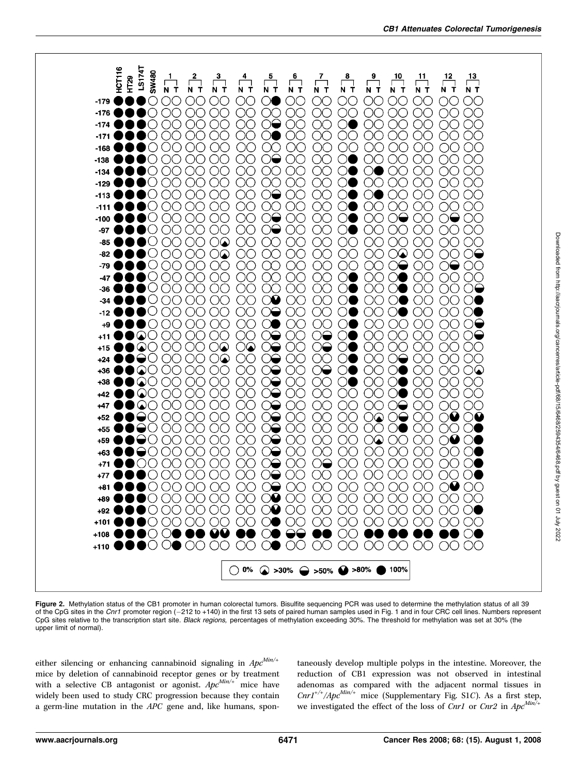

Figure 2. Methylation status of the CB1 promoter in human colorectal tumors. Bisulfite sequencing PCR was used to determine the methylation status of all 39 of the CpG sites in the Cnr1 promoter region (-212 to +140) in th of the CpG sites in the *Cnr1* promoter region (–212 to +140) in the first 13 sets of paired human samples used in Fig. 1 and in four CRC cell lines. Numbers represent<br>CpG sites relative to the transcription start site. *B* upper limit of normal).

either silencing or enhancing cannabinoid signaling in  $Apc^{Min/+}$ mice by deletion of cannabinoid receptor genes or by treatment with a selective CB antagonist or agonist.  $Apc^{Min/+}$  mice have widely been used to study CRC progression because they contain a germ-line mutation in the APC gene and, like humans, spontaneously develop multiple polyps in the intestine. Moreover, the reduction of CB1 expression was not observed in intestinal adenomas as compared with the adjacent normal tissues in  $CnrI^{+/}$ /Apc<sup>Min/+</sup> mice (Supplementary Fig. S1C). As a first step, we investigated the effect of the loss of Cnr1 or Cnr2 in  $Apc^{Min/+}$ 

Downloaded from http://aacrjournals.org/cancerres/article-pdf/68/15/6468/2594354/6468.pdf by guest on 01 July 2022

Downloaded from http://aacrjournals.org/cancerres/article-pdf/68/15/6468/2594354/6468.pdf by guest on 01 July 2022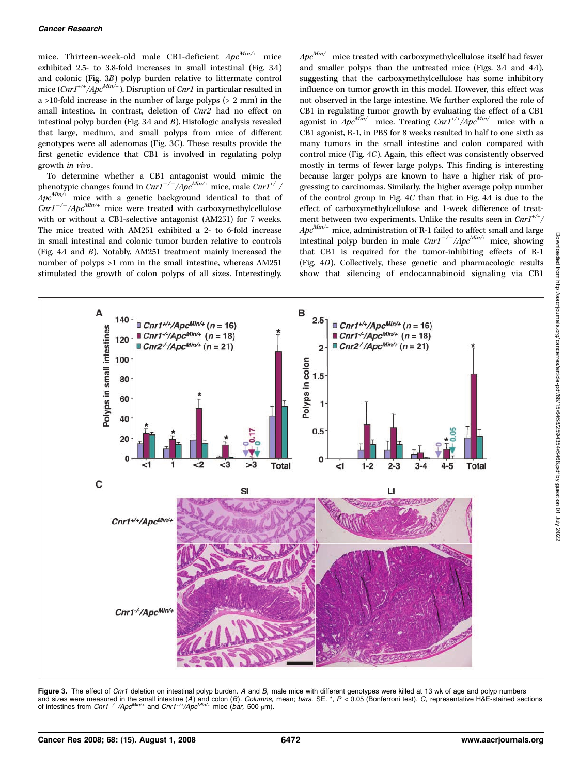mice. Thirteen-week-old male CB1-deficient  $Apc^{Min/+}$  mice exhibited 2.5- to 3.8-fold increases in small intestinal (Fig. 3A) and colonic (Fig. 3B) polyp burden relative to littermate control mice  $(cnr1^{+/}/Apc^{Min/+})$ . Disruption of *Cnr1* in particular resulted in a >10-fold increase in the number of large polyps (> 2 mm) in the small intestine. In contrast, deletion of Cnr2 had no effect on intestinal polyp burden (Fig. 3A and B). Histologic analysis revealed that large, medium, and small polyps from mice of different genotypes were all adenomas (Fig. 3C). These results provide the first genetic evidence that CB1 is involved in regulating polyp growth in vivo.

To determine whether a CB1 antagonist would mimic the phenotypic changes found in  $CnrI^{-/-}/Apc^{Min/+}$  mice, male  $CnrI^{+/+}/$  $Apc^{Min/+}$  mice with a genetic background identical to that of  $\text{Cn}r1^{-/-}/Apc^{\text{Min}/+}$  mice were treated with carboxymethylcellulose with or without a CB1-selective antagonist (AM251) for 7 weeks. The mice treated with AM251 exhibited a 2- to 6-fold increase in small intestinal and colonic tumor burden relative to controls (Fig. 4A and B). Notably, AM251 treatment mainly increased the number of polyps >1 mm in the small intestine, whereas AM251 stimulated the growth of colon polyps of all sizes. Interestingly,

 $Apc^{Min/+}$  mice treated with carboxymethylcellulose itself had fewer and smaller polyps than the untreated mice (Figs. 3A and 4A), suggesting that the carboxymethylcellulose has some inhibitory influence on tumor growth in this model. However, this effect was not observed in the large intestine. We further explored the role of CB1 in regulating tumor growth by evaluating the effect of a CB1 agonist in  $Apc^{Min/+}$  mice. Treating  $Cnr1^{+/+/}$  Apc<sup>Min/+</sup> mice with a CB1 agonist, R-1, in PBS for 8 weeks resulted in half to one sixth as many tumors in the small intestine and colon compared with control mice (Fig. 4C). Again, this effect was consistently observed mostly in terms of fewer large polyps. This finding is interesting because larger polyps are known to have a higher risk of progressing to carcinomas. Similarly, the higher average polyp number of the control group in Fig. 4C than that in Fig. 4A is due to the effect of carboxymethylcellulose and 1-week difference of treatment between two experiments. Unlike the results seen in  $\text{Cn}r1^{+/+}$ /  $Apc^{Min/+}$  mice, administration of R-1 failed to affect small and large intestinal polyp burden in male  $Cn r l^{-/-}/A p c^{Min/+}$  mice, showing that CB1 is required for the tumor-inhibiting effects of R-1 (Fig. 4D). Collectively, these genetic and pharmacologic results show that silencing of endocannabinoid signaling via CB1



**Figure 3.** The effect of *Cnr1* deletion on intestinal polyp burden. A and *B,* male mice with different genotypes were killed at 13 wk of age and polyp numbers<br>and sizes were measured in the small intestine (A) and colo of intestines from  $Cnr1^{-/-}/Apc^{Min/+}$  and  $Cnr1^{+/+}/Apc^{Min/+}$  mice (bar, 500  $\mu$ m).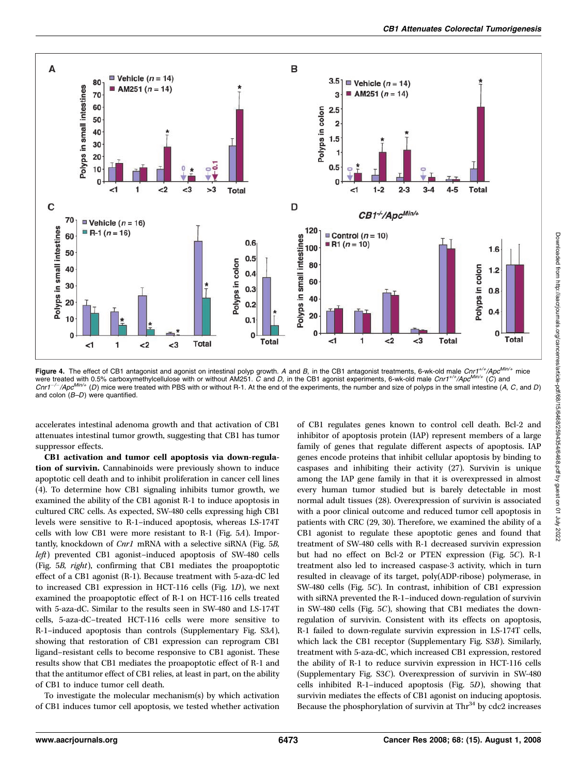

Figure 4. The effect of CB1 antagonist and agonist on intestinal polyp growth. A and B, in the CB1 antagonist treatments, 6-wk-old male Cnr1<sup>+/+</sup>/Apc<sup>Min/+</sup> mice were treated with 0.5% carboxymethylcellulose with or without AM251. C and D, in the CB1 agonist experiments, 6-wk-old male Cnr1<sup>+/+</sup>/Apc<sup>Min/+</sup> (C) and<br>Cnr1<sup>-/-</sup>/Apc<sup>Min/+</sup> (D) mice were treated with PBS with or without  $C$  $A$ pc $^{Min/4}$  (D) mice were treated with PBS with or without R-1. At the end of the experiments, the number and size of polyps in the small intestine (A, C, and D) and colon (B–D) were quantified.

accelerates intestinal adenoma growth and that activation of CB1 attenuates intestinal tumor growth, suggesting that CB1 has tumor suppressor effects.

CB1 activation and tumor cell apoptosis via down-regulation of survivin. Cannabinoids were previously shown to induce apoptotic cell death and to inhibit proliferation in cancer cell lines (4). To determine how CB1 signaling inhibits tumor growth, we examined the ability of the CB1 agonist R-1 to induce apoptosis in cultured CRC cells. As expected, SW-480 cells expressing high CB1 levels were sensitive to R-1–induced apoptosis, whereas LS-174T cells with low CB1 were more resistant to R-1 (Fig. 5A). Importantly, knockdown of Cnr1 mRNA with a selective siRNA (Fig. 5B, left) prevented CB1 agonist–induced apoptosis of SW-480 cells (Fig. 5B, right), confirming that CB1 mediates the proapoptotic effect of a CB1 agonist (R-1). Because treatment with 5-aza-dC led to increased CB1 expression in HCT-116 cells (Fig. 1D), we next examined the proapoptotic effect of R-1 on HCT-116 cells treated with 5-aza-dC. Similar to the results seen in SW-480 and LS-174T cells, 5-aza-dC–treated HCT-116 cells were more sensitive to R-1–induced apoptosis than controls (Supplementary Fig. S3A), showing that restoration of CB1 expression can reprogram CB1 ligand–resistant cells to become responsive to CB1 agonist. These results show that CB1 mediates the proapoptotic effect of R-1 and that the antitumor effect of CB1 relies, at least in part, on the ability of CB1 to induce tumor cell death.

To investigate the molecular mechanism(s) by which activation of CB1 induces tumor cell apoptosis, we tested whether activation of CB1 regulates genes known to control cell death. Bcl-2 and inhibitor of apoptosis protein (IAP) represent members of a large family of genes that regulate different aspects of apoptosis. IAP genes encode proteins that inhibit cellular apoptosis by binding to caspases and inhibiting their activity (27). Survivin is unique among the IAP gene family in that it is overexpressed in almost every human tumor studied but is barely detectable in most normal adult tissues (28). Overexpression of survivin is associated with a poor clinical outcome and reduced tumor cell apoptosis in patients with CRC (29, 30). Therefore, we examined the ability of a CB1 agonist to regulate these apoptotic genes and found that treatment of SW-480 cells with R-1 decreased survivin expression but had no effect on Bcl-2 or PTEN expression (Fig. 5C). R-1 treatment also led to increased caspase-3 activity, which in turn resulted in cleavage of its target, poly(ADP-ribose) polymerase, in SW-480 cells (Fig. 5C). In contrast, inhibition of CB1 expression with siRNA prevented the R-1–induced down-regulation of survivin in SW-480 cells (Fig. 5C), showing that CB1 mediates the downregulation of survivin. Consistent with its effects on apoptosis, R-1 failed to down-regulate survivin expression in LS-174T cells, which lack the CB1 receptor (Supplementary Fig. S3B). Similarly, treatment with 5-aza-dC, which increased CB1 expression, restored the ability of R-1 to reduce survivin expression in HCT-116 cells (Supplementary Fig. S3C). Overexpression of survivin in SW-480 cells inhibited R-1–induced apoptosis (Fig. 5D), showing that survivin mediates the effects of CB1 agonist on inducing apoptosis. Because the phosphorylation of survivin at  $\text{Thr}^{34}$  by cdc2 increases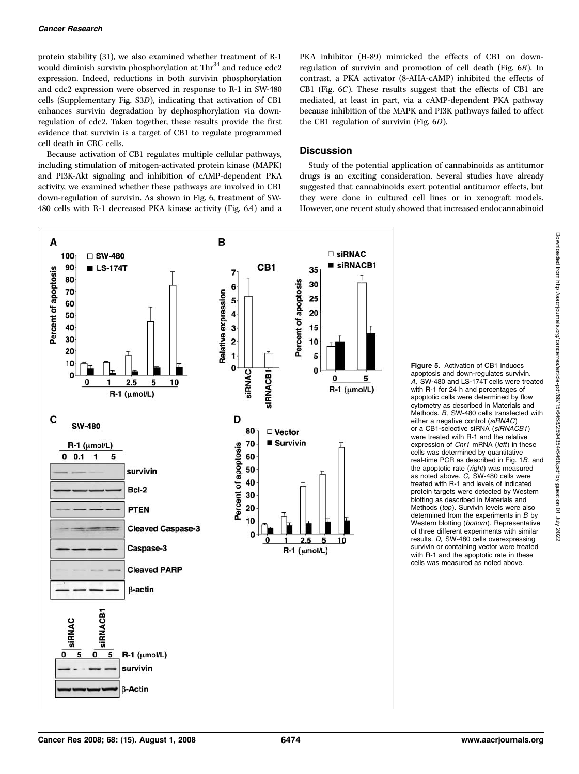protein stability (31), we also examined whether treatment of R-1 would diminish survivin phosphorylation at  $\text{Thr}^{34}$  and reduce cdc2 expression. Indeed, reductions in both survivin phosphorylation and cdc2 expression were observed in response to R-1 in SW-480 cells (Supplementary Fig. S3D), indicating that activation of CB1 enhances survivin degradation by dephosphorylation via downregulation of cdc2. Taken together, these results provide the first evidence that survivin is a target of CB1 to regulate programmed cell death in CRC cells.

Because activation of CB1 regulates multiple cellular pathways, including stimulation of mitogen-activated protein kinase (MAPK) and PI3K-Akt signaling and inhibition of cAMP-dependent PKA activity, we examined whether these pathways are involved in CB1 down-regulation of survivin. As shown in Fig. 6, treatment of SW-480 cells with R-1 decreased PKA kinase activity (Fig. 6A) and a PKA inhibitor (H-89) mimicked the effects of CB1 on downregulation of survivin and promotion of cell death (Fig. 6B). In contrast, a PKA activator (8-AHA-cAMP) inhibited the effects of CB1 (Fig. 6C). These results suggest that the effects of CB1 are mediated, at least in part, via a cAMP-dependent PKA pathway because inhibition of the MAPK and PI3K pathways failed to affect the CB1 regulation of survivin (Fig. 6D).

# **Discussion**

Study of the potential application of cannabinoids as antitumor drugs is an exciting consideration. Several studies have already suggested that cannabinoids exert potential antitumor effects, but they were done in cultured cell lines or in xenograft models. However, one recent study showed that increased endocannabinoid

> Figure 5. Activation of CB1 induces apoptosis and down-regulates survivin. A, SW-480 and LS-174T cells were treated with R-1 for 24 h and percentages of apoptotic cells were determined by flow cytometry as described in Materials and Methods. B, SW-480 cells transfected with either a negative control (siRNAC)<br>or a CB1-selective siRNA (siRNACB1) or a CB1-selective siRNA (*siRNACB1*)<br>were treated with R-1 and the relative expression of Cnr1 mRNA (left) in these cells was determined by quantitative real-time PCR as described in Fig. 1B, and the apoptotic rate (right) was measured<br>as noted above. C. SW-480 cells were as noted above. C, SW-480 cells were treated with R-1 and levels of indicated protein targets were detected by Western blotting as described in Materials and Methods (top). Survivin levels were also determined from the experiments in  $B$  by Western blotting (bottom). Representative of three different experiments with similar results. D, SW-480 cells overexpressing survivin or containing vector were treated with R-1 and the apoptotic rate in these cells was measured as noted above.

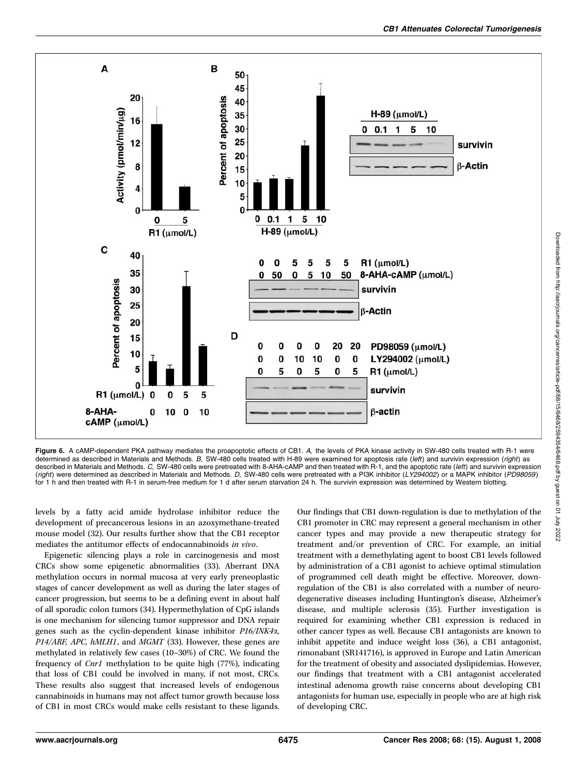

Figure 6. A cAMP-dependent PKA pathway mediates the proapoptotic effects of CB1. A, the levels of PKA kinase activity in SW-480 cells treated with R-1 were determined as described in Materials and Methods. B, SW-480 cells treated with H-89 were examined for apoptosis rate (left) and survivin expression (right) as described in Materials and Methods. C, SW-480 cells were pretreated with 8-AHA-cAMP and then treated with R-1, and the apoptotic rate (left) and survivin expression (right) were determined as described in Materials and Methods. D, SW-480 cells were pretreated with a PI3K inhibitor (LY294002) or a MAPK inhibitor (PD98059) for 1 h and then treated with R-1 in serum-free medium for 1 d after serum starvation 24 h. The survivin expression was determined by Western blotting.

levels by a fatty acid amide hydrolase inhibitor reduce the development of precancerous lesions in an azoxymethane-treated mouse model (32). Our results further show that the CB1 receptor mediates the antitumor effects of endocannabinoids in vivo.

Epigenetic silencing plays a role in carcinogenesis and most CRCs show some epigenetic abnormalities (33). Aberrant DNA methylation occurs in normal mucosa at very early preneoplastic stages of cancer development as well as during the later stages of cancer progression, but seems to be a defining event in about half of all sporadic colon tumors (34). Hypermethylation of CpG islands is one mechanism for silencing tumor suppressor and DNA repair genes such as the cyclin-dependent kinase inhibitor P16/INK4a, P14/ARF, APC, hMLH1, and MGMT (33). However, these genes are methylated in relatively few cases (10–30%) of CRC. We found the frequency of Cnr1 methylation to be quite high (77%), indicating that loss of CB1 could be involved in many, if not most, CRCs. These results also suggest that increased levels of endogenous cannabinoids in humans may not affect tumor growth because loss of CB1 in most CRCs would make cells resistant to these ligands.

Our findings that CB1 down-regulation is due to methylation of the CB1 promoter in CRC may represent a general mechanism in other cancer types and may provide a new therapeutic strategy for treatment and/or prevention of CRC. For example, an initial treatment with a demethylating agent to boost CB1 levels followed by administration of a CB1 agonist to achieve optimal stimulation of programmed cell death might be effective. Moreover, downregulation of the CB1 is also correlated with a number of neurodegenerative diseases including Huntington's disease, Alzheimer's disease, and multiple sclerosis (35). Further investigation is required for examining whether CB1 expression is reduced in other cancer types as well. Because CB1 antagonists are known to inhibit appetite and induce weight loss (36), a CB1 antagonist, rimonabant (SR141716), is approved in Europe and Latin American for the treatment of obesity and associated dyslipidemias. However, our findings that treatment with a CB1 antagonist accelerated intestinal adenoma growth raise concerns about developing CB1 antagonists for human use, especially in people who are at high risk of developing CRC.